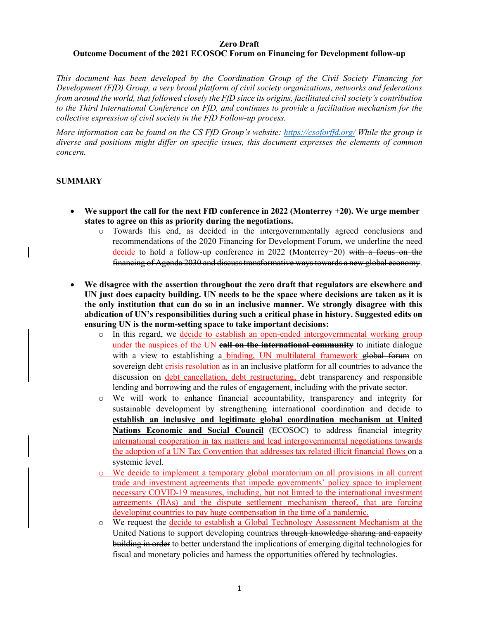#### **Zero Draft Outcome Document of the 2021 ECOSOC Forum on Financing for Development follow-up**

*This document has been developed by the Coordination Group of the Civil Society Financing for Development (FfD) Group, a very broad platform of civil society organizations, networks and federations from around the world, that followed closely the FfD since its origins, facilitated civil society's contribution to the Third International Conference on FfD, and continues to provide a facilitation mechanism for the collective expression of civil society in the FfD Follow-up process.* 

*More information can be found on the CS FfD Group's website: https://csoforffd.org/ While the group is diverse and positions might differ on specific issues, this document expresses the elements of common concern.* 

# **SUMMARY**

- **We support the call for the next FfD conference in 2022 (Monterrey +20). We urge member states to agree on this as priority during the negotiations.** 
	- o Towards this end, as decided in the intergovernmentally agreed conclusions and recommendations of the 2020 Financing for Development Forum, we underline the need decide to hold a follow-up conference in 2022 (Monterrey+20) with a focus on the financing of Agenda 2030 and discuss transformative ways towards a new global economy.
- **We disagree with the assertion throughout the zero draft that regulators are elsewhere and UN just does capacity building. UN needs to be the space where decisions are taken as it is the only institution that can do so in an inclusive manner. We strongly disagree with this abdication of UN's responsibilities during such a critical phase in history. Suggested edits on ensuring UN is the norm-setting space to take important decisions:**
	- o In this regard, we decide to establish an open-ended intergovernmental working group under the auspices of the UN **call on the international community** to initiate dialogue with a view to establishing a binding, UN multilateral framework global forum on sovereign debt crisis resolution as in an inclusive platform for all countries to advance the discussion on debt cancellation, debt restructuring, debt transparency and responsible lending and borrowing and the rules of engagement, including with the private sector.
	- o We will work to enhance financial accountability, transparency and integrity for sustainable development by strengthening international coordination and decide to **establish an inclusive and legitimate global coordination mechanism at United**  Nations Economic and Social Council (ECOSOC) to address financial integrity international cooperation in tax matters and lead intergovernmental negotiations towards the adoption of a UN Tax Convention that addresses tax related illicit financial flows on a systemic level.
	- o We decide to implement a temporary global moratorium on all provisions in all current trade and investment agreements that impede governments' policy space to implement necessary COVID-19 measures, including, but not limted to the international investment agreements (IIAs) and the dispute settlement mechanism thereof, that are forcing developing countries to pay huge compensation in the time of a pandemic.
	- o We request the decide to establish a Global Technology Assessment Mechanism at the United Nations to support developing countries through knowledge sharing and capacity building in order to better understand the implications of emerging digital technologies for fiscal and monetary policies and harness the opportunities offered by technologies.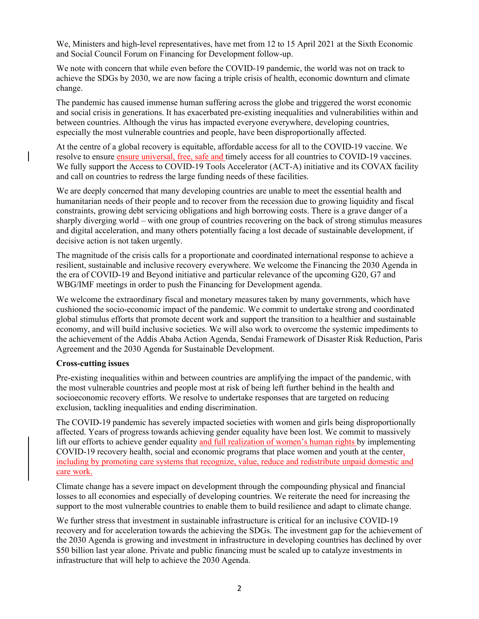We, Ministers and high-level representatives, have met from 12 to 15 April 2021 at the Sixth Economic and Social Council Forum on Financing for Development follow-up.

We note with concern that while even before the COVID-19 pandemic, the world was not on track to achieve the SDGs by 2030, we are now facing a triple crisis of health, economic downturn and climate change.

The pandemic has caused immense human suffering across the globe and triggered the worst economic and social crisis in generations. It has exacerbated pre-existing inequalities and vulnerabilities within and between countries. Although the virus has impacted everyone everywhere, developing countries, especially the most vulnerable countries and people, have been disproportionally affected.

At the centre of a global recovery is equitable, affordable access for all to the COVID-19 vaccine. We resolve to ensure ensure universal, free, safe and timely access for all countries to COVID-19 vaccines. We fully support the Access to COVID-19 Tools Accelerator (ACT-A) initiative and its COVAX facility and call on countries to redress the large funding needs of these facilities.

We are deeply concerned that many developing countries are unable to meet the essential health and humanitarian needs of their people and to recover from the recession due to growing liquidity and fiscal constraints, growing debt servicing obligations and high borrowing costs. There is a grave danger of a sharply diverging world – with one group of countries recovering on the back of strong stimulus measures and digital acceleration, and many others potentially facing a lost decade of sustainable development, if decisive action is not taken urgently.

The magnitude of the crisis calls for a proportionate and coordinated international response to achieve a resilient, sustainable and inclusive recovery everywhere. We welcome the Financing the 2030 Agenda in the era of COVID-19 and Beyond initiative and particular relevance of the upcoming G20, G7 and WBG/IMF meetings in order to push the Financing for Development agenda.

We welcome the extraordinary fiscal and monetary measures taken by many governments, which have cushioned the socio-economic impact of the pandemic. We commit to undertake strong and coordinated global stimulus efforts that promote decent work and support the transition to a healthier and sustainable economy, and will build inclusive societies. We will also work to overcome the systemic impediments to the achievement of the Addis Ababa Action Agenda, Sendai Framework of Disaster Risk Reduction, Paris Agreement and the 2030 Agenda for Sustainable Development.

## **Cross-cutting issues**

Pre-existing inequalities within and between countries are amplifying the impact of the pandemic, with the most vulnerable countries and people most at risk of being left further behind in the health and socioeconomic recovery efforts. We resolve to undertake responses that are targeted on reducing exclusion, tackling inequalities and ending discrimination.

The COVID-19 pandemic has severely impacted societies with women and girls being disproportionally affected. Years of progress towards achieving gender equality have been lost. We commit to massively lift our efforts to achieve gender equality and full realization of women's human rights by implementing COVID-19 recovery health, social and economic programs that place women and youth at the center, including by promoting care systems that recognize, value, reduce and redistribute unpaid domestic and care work.

Climate change has a severe impact on development through the compounding physical and financial losses to all economies and especially of developing countries. We reiterate the need for increasing the support to the most vulnerable countries to enable them to build resilience and adapt to climate change.

We further stress that investment in sustainable infrastructure is critical for an inclusive COVID-19 recovery and for acceleration towards the achieving the SDGs. The investment gap for the achievement of the 2030 Agenda is growing and investment in infrastructure in developing countries has declined by over \$50 billion last year alone. Private and public financing must be scaled up to catalyze investments in infrastructure that will help to achieve the 2030 Agenda.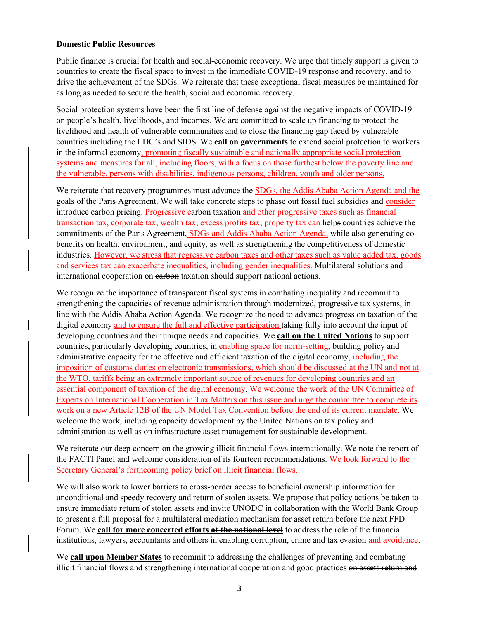#### **Domestic Public Resources**

Public finance is crucial for health and social-economic recovery. We urge that timely support is given to countries to create the fiscal space to invest in the immediate COVID-19 response and recovery, and to drive the achievement of the SDGs. We reiterate that these exceptional fiscal measures be maintained for as long as needed to secure the health, social and economic recovery.

Social protection systems have been the first line of defense against the negative impacts of COVID-19 on people's health, livelihoods, and incomes. We are committed to scale up financing to protect the livelihood and health of vulnerable communities and to close the financing gap faced by vulnerable countries including the LDC's and SIDS. We **call on governments** to extend social protection to workers in the informal economy, promoting fiscally sustainable and nationally appropriate social protection systems and measures for all, including floors, with a focus on those furthest below the poverty line and the vulnerable, persons with disabilities, indigenous persons, children, youth and older persons.

We reiterate that recovery programmes must advance the SDGs, the Addis Ababa Action Agenda and the goals of the Paris Agreement. We will take concrete steps to phase out fossil fuel subsidies and consider introduce carbon pricing. Progressive carbon taxation and other progressive taxes such as financial transaction tax, corporate tax, wealth tax, excess profits tax, property tax can helps countries achieve the commitments of the Paris Agreement, SDGs and Addis Ababa Action Agenda, while also generating cobenefits on health, environment, and equity, as well as strengthening the competitiveness of domestic industries. However, we stress that regressive carbon taxes and other taxes such as value added tax, goods and services tax can exacerbate inequalities, including gender inequalities. Multilateral solutions and international cooperation on earbon taxation should support national actions.

We recognize the importance of transparent fiscal systems in combating inequality and recommit to strengthening the capacities of revenue administration through modernized, progressive tax systems, in line with the Addis Ababa Action Agenda. We recognize the need to advance progress on taxation of the digital economy and to ensure the full and effective participation taking fully into account the input of developing countries and their unique needs and capacities. We **call on the United Nations** to support countries, particularly developing countries, in enabling space for norm-setting, building policy and administrative capacity for the effective and efficient taxation of the digital economy, including the imposition of customs duties on electronic transmissions, which should be discussed at the UN and not at the WTO, tariffs being an extremely important source of revenues for developing countries and an essential component of taxation of the digital economy. We welcome the work of the UN Committee of Experts on International Cooperation in Tax Matters on this issue and urge the committee to complete its work on a new Article 12B of the UN Model Tax Convention before the end of its current mandate. We welcome the work, including capacity development by the United Nations on tax policy and administration as well as on infrastructure asset management for sustainable development.

We reiterate our deep concern on the growing illicit financial flows internationally. We note the report of the FACTI Panel and welcome consideration of its fourteen recommendations. We look forward to the Secretary General's forthcoming policy brief on illicit financial flows.

We will also work to lower barriers to cross-border access to beneficial ownership information for unconditional and speedy recovery and return of stolen assets. We propose that policy actions be taken to ensure immediate return of stolen assets and invite UNODC in collaboration with the World Bank Group to present a full proposal for a multilateral mediation mechanism for asset return before the next FFD Forum. We **call for more concerted efforts at the national level** to address the role of the financial institutions, lawyers, accountants and others in enabling corruption, crime and tax evasion and avoidance.

We **call upon Member States** to recommit to addressing the challenges of preventing and combating illicit financial flows and strengthening international cooperation and good practices on assets return and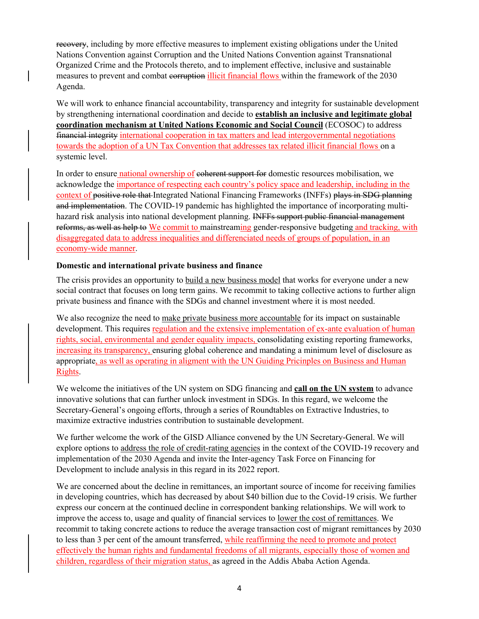recovery, including by more effective measures to implement existing obligations under the United Nations Convention against Corruption and the United Nations Convention against Transnational Organized Crime and the Protocols thereto, and to implement effective, inclusive and sustainable measures to prevent and combat corruption illicit financial flows within the framework of the 2030 Agenda.

We will work to enhance financial accountability, transparency and integrity for sustainable development by strengthening international coordination and decide to **establish an inclusive and legitimate global coordination mechanism at United Nations Economic and Social Council** (ECOSOC) to address financial integrity international cooperation in tax matters and lead intergovernmental negotiations towards the adoption of a UN Tax Convention that addresses tax related illicit financial flows on a systemic level.

In order to ensure national ownership of e<del>oherent support for</del> domestic resources mobilisation, we acknowledge the importance of respecting each country's policy space and leadership, including in the context of positive role that Integrated National Financing Frameworks (INFFs) plays in SDG planning and implementation. The COVID-19 pandemic has highlighted the importance of incorporating multihazard risk analysis into national development planning. INFFs support public financial management reforms, as well as help to We commit to mainstreaming gender-responsive budgeting and tracking, with disaggregated data to address inequalities and differenciated needs of groups of population, in an economy-wide manner.

## **Domestic and international private business and finance**

The crisis provides an opportunity to build a new business model that works for everyone under a new social contract that focuses on long term gains. We recommit to taking collective actions to further align private business and finance with the SDGs and channel investment where it is most needed.

We also recognize the need to make private business more accountable for its impact on sustainable development. This requires regulation and the extensive implementation of ex-ante evaluation of human rights, social, environmental and gender equality impacts, consolidating existing reporting frameworks, increasing its transparency, ensuring global coherence and mandating a minimum level of disclosure as appropriate, as well as operating in aligment with the UN Guiding Pricinples on Business and Human Rights.

We welcome the initiatives of the UN system on SDG financing and **call on the UN system** to advance innovative solutions that can further unlock investment in SDGs. In this regard, we welcome the Secretary-General's ongoing efforts, through a series of Roundtables on Extractive Industries, to maximize extractive industries contribution to sustainable development.

We further welcome the work of the GISD Alliance convened by the UN Secretary-General. We will explore options to address the role of credit-rating agencies in the context of the COVID-19 recovery and implementation of the 2030 Agenda and invite the Inter-agency Task Force on Financing for Development to include analysis in this regard in its 2022 report.

We are concerned about the decline in remittances, an important source of income for receiving families in developing countries, which has decreased by about \$40 billion due to the Covid-19 crisis. We further express our concern at the continued decline in correspondent banking relationships. We will work to improve the access to, usage and quality of financial services to lower the cost of remittances. We recommit to taking concrete actions to reduce the average transaction cost of migrant remittances by 2030 to less than 3 per cent of the amount transferred, while reaffirming the need to promote and protect effectively the human rights and fundamental freedoms of all migrants, especially those of women and children, regardless of their migration status, as agreed in the Addis Ababa Action Agenda.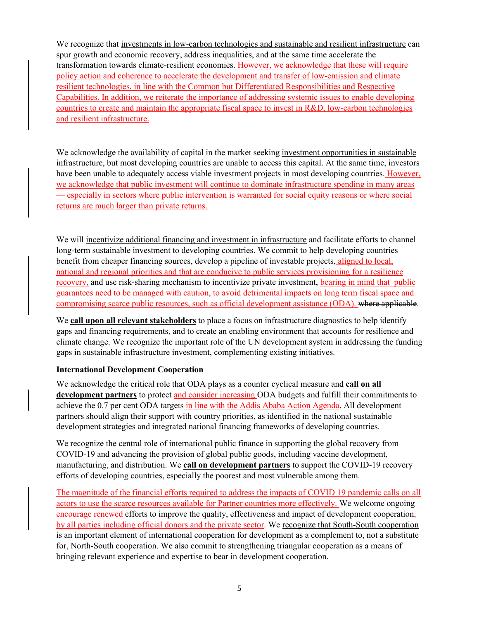We recognize that investments in low-carbon technologies and sustainable and resilient infrastructure can spur growth and economic recovery, address inequalities, and at the same time accelerate the transformation towards climate-resilient economies. However, we acknowledge that these will require policy action and coherence to accelerate the development and transfer of low-emission and climate resilient technologies, in line with the Common but Differentiated Responsibilities and Respective Capabilities. In addition, we reiterate the importance of addressing systemic issues to enable developing countries to create and maintain the appropriate fiscal space to invest in R&D, low-carbon technologies and resilient infrastructure.

We acknowledge the availability of capital in the market seeking investment opportunities in sustainable infrastructure, but most developing countries are unable to access this capital. At the same time, investors have been unable to adequately access viable investment projects in most developing countries. However, we acknowledge that public investment will continue to dominate infrastructure spending in many areas — especially in sectors where public intervention is warranted for social equity reasons or where social returns are much larger than private returns.

We will incentivize additional financing and investment in infrastructure and facilitate efforts to channel long-term sustainable investment to developing countries. We commit to help developing countries benefit from cheaper financing sources, develop a pipeline of investable projects, aligned to local, national and regional priorities and that are conducive to public services provisioning for a resilience recovery, and use risk-sharing mechanism to incentivize private investment, bearing in mind that public guarantees need to be managed with caution, to avoid detrimental impacts on long term fiscal space and compromising scarce public resources, such as official development assistance (ODA). where applicable.

We **call upon all relevant stakeholders** to place a focus on infrastructure diagnostics to help identify gaps and financing requirements, and to create an enabling environment that accounts for resilience and climate change. We recognize the important role of the UN development system in addressing the funding gaps in sustainable infrastructure investment, complementing existing initiatives.

## **International Development Cooperation**

We acknowledge the critical role that ODA plays as a counter cyclical measure and **call on all development partners** to protect and consider increasing ODA budgets and fulfill their commitments to achieve the 0.7 per cent ODA targets in line with the Addis Ababa Action Agenda. All development partners should align their support with country priorities, as identified in the national sustainable development strategies and integrated national financing frameworks of developing countries.

We recognize the central role of international public finance in supporting the global recovery from COVID-19 and advancing the provision of global public goods, including vaccine development, manufacturing, and distribution. We **call on development partners** to support the COVID-19 recovery efforts of developing countries, especially the poorest and most vulnerable among them.

The magnitude of the financial efforts required to address the impacts of COVID 19 pandemic calls on all actors to use the scarce resources available for Partner countries more effectively. We welcome ongoing encourage renewed efforts to improve the quality, effectiveness and impact of development cooperation, by all parties including official donors and the private sector. We recognize that South-South cooperation is an important element of international cooperation for development as a complement to, not a substitute for, North-South cooperation. We also commit to strengthening triangular cooperation as a means of bringing relevant experience and expertise to bear in development cooperation.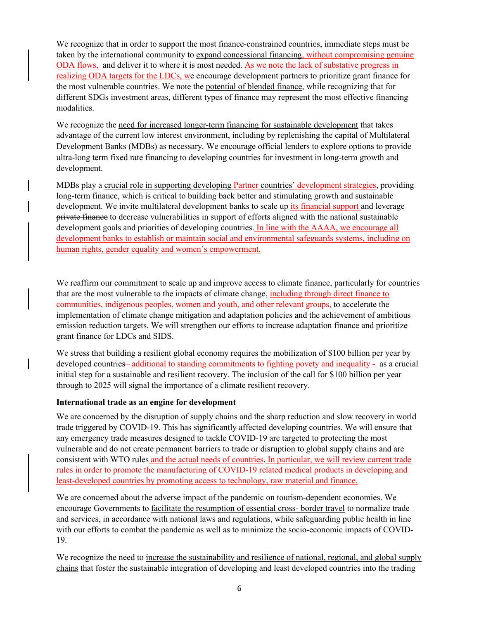We recognize that in order to support the most finance-constrained countries, immediate steps must be taken by the international community to expand concessional financing, without compromising genuine ODA flows, and deliver it to where it is most needed. As we note the lack of substative progress in realizing ODA targets for the LDCs, we encourage development partners to prioritize grant finance for the most vulnerable countries. We note the potential of blended finance, while recognizing that for different SDGs investment areas, different types of finance may represent the most effective financing modalities.

We recognize the need for increased longer-term financing for sustainable development that takes advantage of the current low interest environment, including by replenishing the capital of Multilateral Development Banks (MDBs) as necessary*.* We encourage official lenders to explore options to provide ultra-long term fixed rate financing to developing countries for investment in long-term growth and development.

MDBs play a crucial role in supporting developing Partner countries' development strategies, providing long-term finance, which is critical to building back better and stimulating growth and sustainable development. We invite multilateral development banks to scale up its financial support and leverage private finance to decrease vulnerabilities in support of efforts aligned with the national sustainable development goals and priorities of developing countries. In line with the AAAA, we encourage all development banks to establish or maintain social and environmental safeguards systems, including on human rights, gender equality and women's empowerment.

We reaffirm our commitment to scale up and improve access to climate finance, particularly for countries that are the most vulnerable to the impacts of climate change, including through direct finance to communities, indigenous peoples, women and youth, and other relevant groups, to accelerate the implementation of climate change mitigation and adaptation policies and the achievement of ambitious emission reduction targets. We will strengthen our efforts to increase adaptation finance and prioritize grant finance for LDCs and SIDS.

We stress that building a resilient global economy requires the mobilization of \$100 billion per year by developed countries– additional to standing commitments to fighting povety and inequality - as a crucial initial step for a sustainable and resilient recovery. The inclusion of the call for \$100 billion per year through to 2025 will signal the importance of a climate resilient recovery.

## **International trade as an engine for development**

We are concerned by the disruption of supply chains and the sharp reduction and slow recovery in world trade triggered by COVID-19. This has significantly affected developing countries. We will ensure that any emergency trade measures designed to tackle COVID-19 are targeted to protecting the most vulnerable and do not create permanent barriers to trade or disruption to global supply chains and are consistent with WTO rules and the actual needs of countries. In particular, we will review current trade rules in order to promote the manufacturing of COVID-19 related medical products in developing and least-developed countries by promoting access to technology, raw material and finance.

We are concerned about the adverse impact of the pandemic on tourism-dependent economies. We encourage Governments to facilitate the resumption of essential cross- border travel to normalize trade and services, in accordance with national laws and regulations, while safeguarding public health in line with our efforts to combat the pandemic as well as to minimize the socio-economic impacts of COVID-19.

We recognize the need to <u>increase the sustainability and resilience of national, regional, and global supply</u> chains that foster the sustainable integration of developing and least developed countries into the trading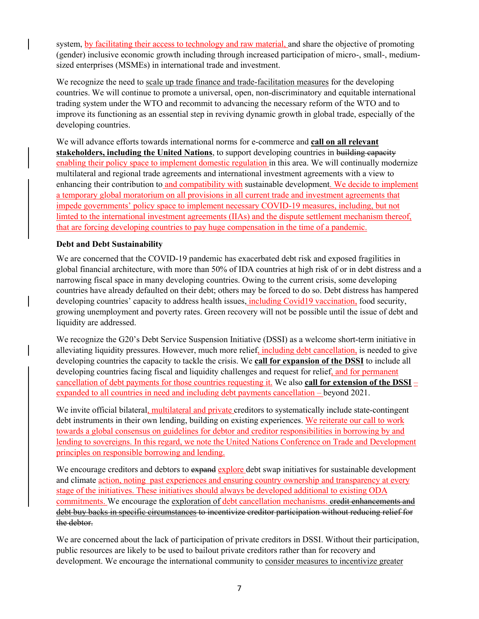system, by facilitating their access to technology and raw material, and share the objective of promoting (gender) inclusive economic growth including through increased participation of micro-, small-, mediumsized enterprises (MSMEs) in international trade and investment.

We recognize the need to scale up trade finance and trade-facilitation measures for the developing countries. We will continue to promote a universal, open, non-discriminatory and equitable international trading system under the WTO and recommit to advancing the necessary reform of the WTO and to improve its functioning as an essential step in reviving dynamic growth in global trade, especially of the developing countries.

We will advance efforts towards international norms for e-commerce and **call on all relevant stakeholders, including the United Nations**, to support developing countries in building capacity enabling their policy space to implement domestic regulation in this area. We will continually modernize multilateral and regional trade agreements and international investment agreements with a view to enhancing their contribution to and compatibility with sustainable development. We decide to implement a temporary global moratorium on all provisions in all current trade and investment agreements that impede governments' policy space to implement necessary COVID-19 measures, including, but not limted to the international investment agreements (IIAs) and the dispute settlement mechanism thereof, that are forcing developing countries to pay huge compensation in the time of a pandemic.

## **Debt and Debt Sustainability**

We are concerned that the COVID-19 pandemic has exacerbated debt risk and exposed fragilities in global financial architecture, with more than 50% of IDA countries at high risk of or in debt distress and a narrowing fiscal space in many developing countries. Owing to the current crisis, some developing countries have already defaulted on their debt; others may be forced to do so. Debt distress has hampered developing countries' capacity to address health issues, including Covid19 vaccination, food security, growing unemployment and poverty rates. Green recovery will not be possible until the issue of debt and liquidity are addressed.

We recognize the G20's Debt Service Suspension Initiative (DSSI) as a welcome short-term initiative in alleviating liquidity pressures. However, much more relief, including debt cancellation, is needed to give developing countries the capacity to tackle the crisis. We **call for expansion of the DSSI** to include all developing countries facing fiscal and liquidity challenges and request for relief, and for permanent cancellation of debt payments for those countries requesting it. We also **call for extension of the DSSI** – expanded to all countries in need and including debt payments cancellation – beyond 2021.

We invite official bilateral, multilateral and private creditors to systematically include state-contingent debt instruments in their own lending, building on existing experiences. We reiterate our call to work towards a global consensus on guidelines for debtor and creditor responsibilities in borrowing by and lending to sovereigns. In this regard, we note the United Nations Conference on Trade and Development principles on responsible borrowing and lending.

We encourage creditors and debtors to expand explore debt swap initiatives for sustainable development and climate action, noting past experiences and ensuring country ownership and transparency at every stage of the initiatives. These initiatives should always be developed additional to existing ODA commitments. We encourage the exploration of debt cancellation mechanisms. credit enhancements and debt buy backs in specific circumstances to incentivize creditor participation without reducing relief for the debtor.

We are concerned about the lack of participation of private creditors in DSSI. Without their participation, public resources are likely to be used to bailout private creditors rather than for recovery and development. We encourage the international community to consider measures to incentivize greater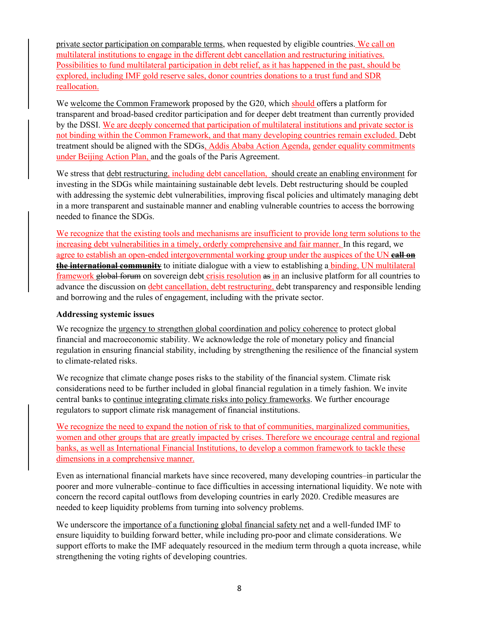private sector participation on comparable terms, when requested by eligible countries. We call on multilateral institutions to engage in the different debt cancellation and restructuring initiatives. Possibilities to fund multilateral participation in debt relief, as it has happened in the past, should be explored, including IMF gold reserve sales, donor countries donations to a trust fund and SDR reallocation.

We welcome the Common Framework proposed by the G20, which should offers a platform for transparent and broad-based creditor participation and for deeper debt treatment than currently provided by the DSSI. We are deeply concerned that participation of multilateral institutions and private sector is not binding within the Common Framework, and that many developing countries remain excluded. Debt treatment should be aligned with the SDGs, Addis Ababa Action Agenda, gender equality commitments under Beijing Action Plan, and the goals of the Paris Agreement.

We stress that debt restructuring, including debt cancellation, should create an enabling environment for investing in the SDGs while maintaining sustainable debt levels. Debt restructuring should be coupled with addressing the systemic debt vulnerabilities, improving fiscal policies and ultimately managing debt in a more transparent and sustainable manner and enabling vulnerable countries to access the borrowing needed to finance the SDGs.

We recognize that the existing tools and mechanisms are insufficient to provide long term solutions to the increasing debt vulnerabilities in a timely, orderly comprehensive and fair manner. In this regard, we agree to establish an open-ended intergovernmental working group under the auspices of the UN **call on the international community** to initiate dialogue with a view to establishing a binding, UN multilateral framework global forum on sovereign debt crisis resolution as in an inclusive platform for all countries to advance the discussion on debt cancellation, debt restructuring, debt transparency and responsible lending and borrowing and the rules of engagement, including with the private sector.

## **Addressing systemic issues**

We recognize the urgency to strengthen global coordination and policy coherence to protect global financial and macroeconomic stability. We acknowledge the role of monetary policy and financial regulation in ensuring financial stability, including by strengthening the resilience of the financial system to climate-related risks.

We recognize that climate change poses risks to the stability of the financial system. Climate risk considerations need to be further included in global financial regulation in a timely fashion. We invite central banks to continue integrating climate risks into policy frameworks. We further encourage regulators to support climate risk management of financial institutions.

We recognize the need to expand the notion of risk to that of communities, marginalized communities, women and other groups that are greatly impacted by crises. Therefore we encourage central and regional banks, as well as International Financial Institutions, to develop a common framework to tackle these dimensions in a comprehensive manner.

Even as international financial markets have since recovered, many developing countries–in particular the poorer and more vulnerable–continue to face difficulties in accessing international liquidity. We note with concern the record capital outflows from developing countries in early 2020. Credible measures are needed to keep liquidity problems from turning into solvency problems.

We underscore the importance of a functioning global financial safety net and a well-funded IMF to ensure liquidity to building forward better, while including pro-poor and climate considerations. We support efforts to make the IMF adequately resourced in the medium term through a quota increase, while strengthening the voting rights of developing countries.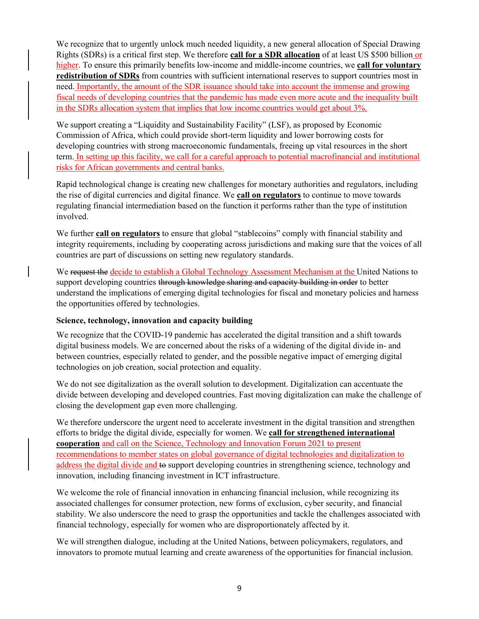We recognize that to urgently unlock much needed liquidity, a new general allocation of Special Drawing Rights (SDRs) is a critical first step. We therefore **call for a SDR allocation** of at least US \$500 billion or higher. To ensure this primarily benefits low-income and middle-income countries, we **call for voluntary redistribution of SDRs** from countries with sufficient international reserves to support countries most in need. Importantly, the amount of the SDR issuance should take into account the immense and growing fiscal needs of developing countries that the pandemic has made even more acute and the inequality built in the SDRs allocation system that implies that low income countries would get about 3%.

We support creating a "Liquidity and Sustainability Facility" (LSF), as proposed by Economic Commission of Africa, which could provide short-term liquidity and lower borrowing costs for developing countries with strong macroeconomic fundamentals, freeing up vital resources in the short term. In setting up this facility, we call for a careful approach to potential macrofinancial and institutional risks for African governments and central banks.

Rapid technological change is creating new challenges for monetary authorities and regulators, including the rise of digital currencies and digital finance. We **call on regulators** to continue to move towards regulating financial intermediation based on the function it performs rather than the type of institution involved.

We further **call on regulators** to ensure that global "stablecoins" comply with financial stability and integrity requirements, including by cooperating across jurisdictions and making sure that the voices of all countries are part of discussions on setting new regulatory standards.

We request the decide to establish a Global Technology Assessment Mechanism at the United Nations to support developing countries through knowledge sharing and capacity building in order to better understand the implications of emerging digital technologies for fiscal and monetary policies and harness the opportunities offered by technologies.

## **Science, technology, innovation and capacity building**

We recognize that the COVID-19 pandemic has accelerated the digital transition and a shift towards digital business models. We are concerned about the risks of a widening of the digital divide in- and between countries, especially related to gender, and the possible negative impact of emerging digital technologies on job creation, social protection and equality.

We do not see digitalization as the overall solution to development. Digitalization can accentuate the divide between developing and developed countries. Fast moving digitalization can make the challenge of closing the development gap even more challenging.

We therefore underscore the urgent need to accelerate investment in the digital transition and strengthen efforts to bridge the digital divide, especially for women. We **call for strengthened international cooperation** and call on the Science, Technology and Innovation Forum 2021 to present recommendations to member states on global governance of digital technologies and digitalization to address the digital divide and to support developing countries in strengthening science, technology and innovation, including financing investment in ICT infrastructure.

We welcome the role of financial innovation in enhancing financial inclusion, while recognizing its associated challenges for consumer protection, new forms of exclusion, cyber security, and financial stability. We also underscore the need to grasp the opportunities and tackle the challenges associated with financial technology, especially for women who are disproportionately affected by it.

We will strengthen dialogue, including at the United Nations, between policymakers, regulators, and innovators to promote mutual learning and create awareness of the opportunities for financial inclusion.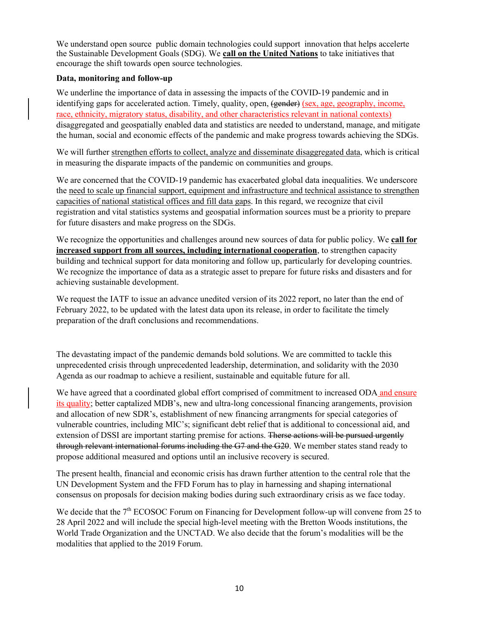We understand open source public domain technologies could support innovation that helps accelerte the Sustainable Development Goals (SDG). We **call on the United Nations** to take initiatives that encourage the shift towards open source technologies.

## **Data, monitoring and follow-up**

We underline the importance of data in assessing the impacts of the COVID-19 pandemic and in identifying gaps for accelerated action. Timely, quality, open, (gender) (sex, age, geography, income, race, ethnicity, migratory status, disability, and other characteristics relevant in national contexts) disaggregated and geospatially enabled data and statistics are needed to understand, manage, and mitigate the human, social and economic effects of the pandemic and make progress towards achieving the SDGs.

We will further strengthen efforts to collect, analyze and disseminate disaggregated data, which is critical in measuring the disparate impacts of the pandemic on communities and groups.

We are concerned that the COVID-19 pandemic has exacerbated global data inequalities. We underscore the need to scale up financial support, equipment and infrastructure and technical assistance to strengthen capacities of national statistical offices and fill data gaps. In this regard, we recognize that civil registration and vital statistics systems and geospatial information sources must be a priority to prepare for future disasters and make progress on the SDGs.

We recognize the opportunities and challenges around new sources of data for public policy. We **call for increased support from all sources, including international cooperation**, to strengthen capacity building and technical support for data monitoring and follow up, particularly for developing countries. We recognize the importance of data as a strategic asset to prepare for future risks and disasters and for achieving sustainable development.

We request the IATF to issue an advance unedited version of its 2022 report, no later than the end of February 2022, to be updated with the latest data upon its release, in order to facilitate the timely preparation of the draft conclusions and recommendations.

The devastating impact of the pandemic demands bold solutions. We are committed to tackle this unprecedented crisis through unprecedented leadership, determination, and solidarity with the 2030 Agenda as our roadmap to achieve a resilient, sustainable and equitable future for all.

We have agreed that a coordinated global effort comprised of commitment to increased ODA and ensure its quality; better captalized MDB's, new and ultra-long concessional financing arangements, provision and allocation of new SDR's, establishment of new financing arrangments for special categories of vulnerable countries, including MIC's; significant debt relief that is additional to concessional aid, and extension of DSSI are important starting premise for actions. There actions will be pursued urgently through relevant international forums including the G7 and the G20. We member states stand ready to propose additional measured and options until an inclusive recovery is secured.

The present health, financial and economic crisis has drawn further attention to the central role that the UN Development System and the FFD Forum has to play in harnessing and shaping international consensus on proposals for decision making bodies during such extraordinary crisis as we face today.

We decide that the  $7<sup>th</sup> ECOSOC$  Forum on Financing for Development follow-up will convene from 25 to 28 April 2022 and will include the special high-level meeting with the Bretton Woods institutions, the World Trade Organization and the UNCTAD. We also decide that the forum's modalities will be the modalities that applied to the 2019 Forum.